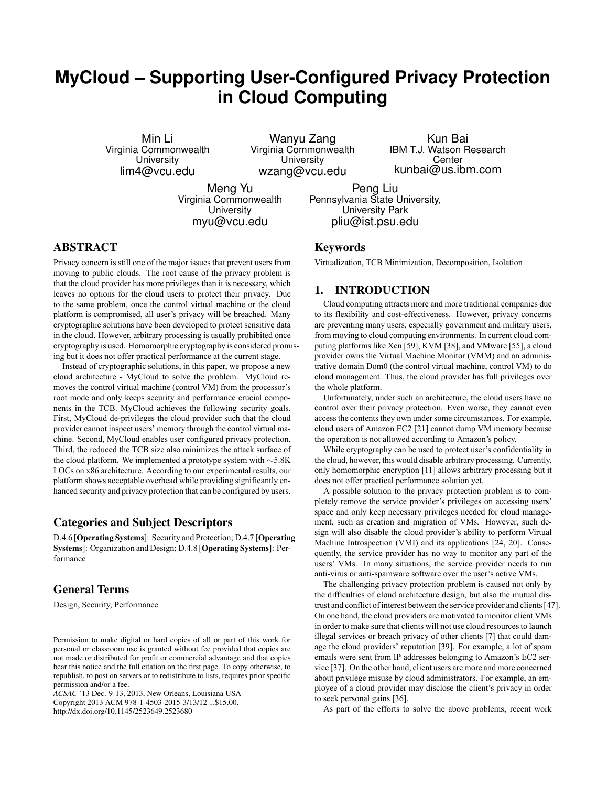# **MyCloud – Supporting User-Configured Privacy Protection in Cloud Computing**

Min Li Virginia Commonwealth **University** lim4@vcu.edu

Wanyu Zang Virginia Commonwealth **University** wzang@vcu.edu

Kun Bai IBM T.J. Watson Research Center kunbai@us.ibm.com

Meng Yu Virginia Commonwealth **University** myu@vcu.edu

Peng Liu Pennsylvania State University, University Park pliu@ist.psu.edu

# ABSTRACT

Privacy concern is still one of the major issues that prevent users from moving to public clouds. The root cause of the privacy problem is that the cloud provider has more privileges than it is necessary, which leaves no options for the cloud users to protect their privacy. Due to the same problem, once the control virtual machine or the cloud platform is compromised, all user's privacy will be breached. Many cryptographic solutions have been developed to protect sensitive data in the cloud. However, arbitrary processing is usually prohibited once cryptography is used. Homomorphic cryptography is considered promising but it does not offer practical performance at the current stage.

Instead of cryptographic solutions, in this paper, we propose a new cloud architecture - MyCloud to solve the problem. MyCloud removes the control virtual machine (control VM) from the processor's root mode and only keeps security and performance crucial components in the TCB. MyCloud achieves the following security goals. First, MyCloud de-privileges the cloud provider such that the cloud provider cannot inspect users' memory through the control virtual machine. Second, MyCloud enables user configured privacy protection. Third, the reduced the TCB size also minimizes the attack surface of the cloud platform. We implemented a prototype system with *∼*5.8K LOCs on x86 architecture. According to our experimental results, our platform shows acceptable overhead while providing significantly enhanced security and privacy protection that can be configured by users.

### Categories and Subject Descriptors

D.4.6 [**Operating Systems**]: Security and Protection; D.4.7 [**Operating Systems**]: Organization and Design; D.4.8 [**Operating Systems**]: Performance

# General Terms

Design, Security, Performance

*ACSAC* '13 Dec. 9-13, 2013, New Orleans, Louisiana USA Copyright 2013 ACM 978-1-4503-2015-3/13/12 ...\$15.00. http://dx.doi.org/10.1145/2523649.2523680

#### Keywords

Virtualization, TCB Minimization, Decomposition, Isolation

### 1. INTRODUCTION

Cloud computing attracts more and more traditional companies due to its flexibility and cost-effectiveness. However, privacy concerns are preventing many users, especially government and military users, from moving to cloud computing environments. In current cloud computing platforms like Xen [59], KVM [38], and VMware [55], a cloud provider owns the Virtual Machine Monitor (VMM) and an administrative domain Dom0 (the control virtual machine, control VM) to do cloud management. Thus, the cloud provider has full privileges over the whole platform.

Unfortunately, under such an architecture, the cloud users have no control over their privacy protection. Even worse, they cannot even access the contents they own under some circumstances. For example, cloud users of Amazon EC2 [21] cannot dump VM memory because the operation is not allowed according to Amazon's policy.

While cryptography can be used to protect user's confidentiality in the cloud, however, this would disable arbitrary processing. Currently, only homomorphic encryption [11] allows arbitrary processing but it does not offer practical performance solution yet.

A possible solution to the privacy protection problem is to completely remove the service provider's privileges on accessing users' space and only keep necessary privileges needed for cloud management, such as creation and migration of VMs. However, such design will also disable the cloud provider's ability to perform Virtual Machine Introspection (VMI) and its applications [24, 20]. Consequently, the service provider has no way to monitor any part of the users' VMs. In many situations, the service provider needs to run anti-virus or anti-spamware software over the user's active VMs.

The challenging privacy protection problem is caused not only by the difficulties of cloud architecture design, but also the mutual distrust and conflict of interest between the service provider and clients [47]. On one hand, the cloud providers are motivated to monitor client VMs in order to make sure that clients will not use cloud resources to launch illegal services or breach privacy of other clients [7] that could damage the cloud providers' reputation [39]. For example, a lot of spam emails were sent from IP addresses belonging to Amazon's EC2 service [37]. On the other hand, client users are more and more concerned about privilege misuse by cloud administrators. For example, an employee of a cloud provider may disclose the client's privacy in order to seek personal gains [36].

As part of the efforts to solve the above problems, recent work

Permission to make digital or hard copies of all or part of this work for personal or classroom use is granted without fee provided that copies are not made or distributed for profit or commercial advantage and that copies bear this notice and the full citation on the first page. To copy otherwise, to republish, to post on servers or to redistribute to lists, requires prior specific permission and/or a fee.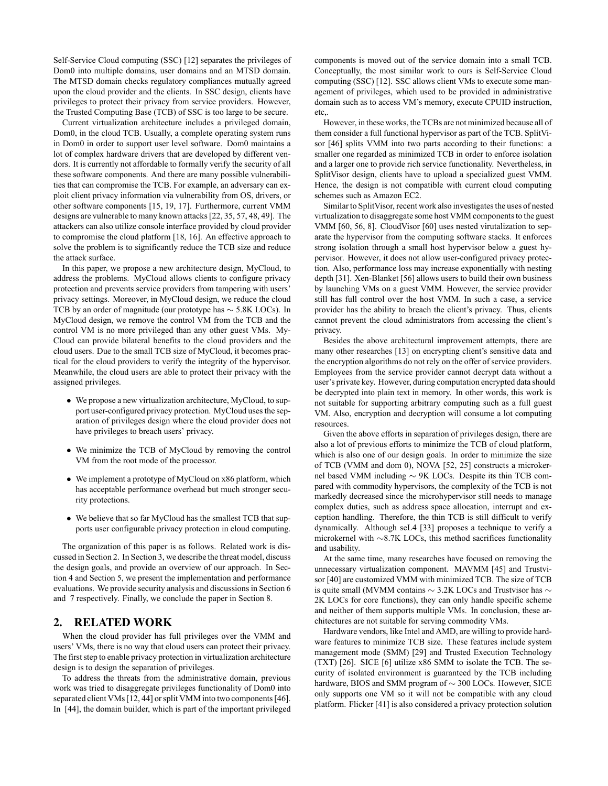Self-Service Cloud computing (SSC) [12] separates the privileges of Dom0 into multiple domains, user domains and an MTSD domain. The MTSD domain checks regulatory compliances mutually agreed upon the cloud provider and the clients. In SSC design, clients have privileges to protect their privacy from service providers. However, the Trusted Computing Base (TCB) of SSC is too large to be secure.

Current virtualization architecture includes a privileged domain, Dom0, in the cloud TCB. Usually, a complete operating system runs in Dom0 in order to support user level software. Dom0 maintains a lot of complex hardware drivers that are developed by different vendors. It is currently not affordable to formally verify the security of all these software components. And there are many possible vulnerabilities that can compromise the TCB. For example, an adversary can exploit client privacy information via vulnerability from OS, drivers, or other software components [15, 19, 17]. Furthermore, current VMM designs are vulnerable to many known attacks [22, 35, 57, 48, 49]. The attackers can also utilize console interface provided by cloud provider to compromise the cloud platform [18, 16]. An effective approach to solve the problem is to significantly reduce the TCB size and reduce the attack surface.

In this paper, we propose a new architecture design, MyCloud, to address the problems. MyCloud allows clients to configure privacy protection and prevents service providers from tampering with users' privacy settings. Moreover, in MyCloud design, we reduce the cloud TCB by an order of magnitude (our prototype has *∼* 5.8K LOCs). In MyCloud design, we remove the control VM from the TCB and the control VM is no more privileged than any other guest VMs. My-Cloud can provide bilateral benefits to the cloud providers and the cloud users. Due to the small TCB size of MyCloud, it becomes practical for the cloud providers to verify the integrity of the hypervisor. Meanwhile, the cloud users are able to protect their privacy with the assigned privileges.

- We propose a new virtualization architecture, MyCloud, to support user-configured privacy protection. MyCloud uses the separation of privileges design where the cloud provider does not have privileges to breach users' privacy.
- *•* We minimize the TCB of MyCloud by removing the control VM from the root mode of the processor.
- *•* We implement a prototype of MyCloud on x86 platform, which has acceptable performance overhead but much stronger security protections.
- *•* We believe that so far MyCloud has the smallest TCB that supports user configurable privacy protection in cloud computing.

The organization of this paper is as follows. Related work is discussed in Section 2. In Section 3, we describe the threat model, discuss the design goals, and provide an overview of our approach. In Section 4 and Section 5, we present the implementation and performance evaluations. We provide security analysis and discussions in Section 6 and 7 respectively. Finally, we conclude the paper in Section 8.

# 2. RELATED WORK

When the cloud provider has full privileges over the VMM and users' VMs, there is no way that cloud users can protect their privacy. The first step to enable privacy protection in virtualization architecture design is to design the separation of privileges.

To address the threats from the administrative domain, previous work was tried to disaggregate privileges functionality of Dom0 into separated client VMs [12, 44] or split VMM into two components [46]. In [44], the domain builder, which is part of the important privileged components is moved out of the service domain into a small TCB. Conceptually, the most similar work to ours is Self-Service Cloud computing (SSC) [12]. SSC allows client VMs to execute some management of privileges, which used to be provided in administrative domain such as to access VM's memory, execute CPUID instruction, etc,.

However, in these works, the TCBs are not minimized because all of them consider a full functional hypervisor as part of the TCB. SplitVisor [46] splits VMM into two parts according to their functions: a smaller one regarded as minimized TCB in order to enforce isolation and a larger one to provide rich service functionality. Nevertheless, in SplitVisor design, clients have to upload a specialized guest VMM. Hence, the design is not compatible with current cloud computing schemes such as Amazon EC2.

Similar to SplitVisor, recent work also investigates the uses of nested virtualization to disaggregate some host VMM components to the guest VMM [60, 56, 8]. CloudVisor [60] uses nested virutalization to separate the hypervisor from the computing software stacks. It enforces strong isolation through a small host hypervisor below a guest hypervisor. However, it does not allow user-configured privacy protection. Also, performance loss may increase exponentially with nesting depth [31]. Xen-Blanket [56] allows users to build their own business by launching VMs on a guest VMM. However, the service provider still has full control over the host VMM. In such a case, a service provider has the ability to breach the client's privacy. Thus, clients cannot prevent the cloud administrators from accessing the client's privacy.

Besides the above architectural improvement attempts, there are many other researches [13] on encrypting client's sensitive data and the encryption algorithms do not rely on the offer of service providers. Employees from the service provider cannot decrypt data without a user's private key. However, during computation encrypted data should be decrypted into plain text in memory. In other words, this work is not suitable for supporting arbitrary computing such as a full guest VM. Also, encryption and decryption will consume a lot computing resources.

Given the above efforts in separation of privileges design, there are also a lot of previous efforts to minimize the TCB of cloud platform, which is also one of our design goals. In order to minimize the size of TCB (VMM and dom 0), NOVA [52, 25] constructs a microkernel based VMM including *∼* 9K LOCs. Despite its thin TCB compared with commodity hypervisors, the complexity of the TCB is not markedly decreased since the microhypervisor still needs to manage complex duties, such as address space allocation, interrupt and exception handling. Therefore, the thin TCB is still difficult to verify dynamically. Although seL4 [33] proposes a technique to verify a microkernel with *∼*8.7K LOCs, this method sacrifices functionality and usability.

At the same time, many researches have focused on removing the unnecessary virtualization component. MAVMM [45] and Trustvisor [40] are customized VMM with minimized TCB. The size of TCB is quite small (MVMM contains *∼* 3.2K LOCs and Trustvisor has *∼* 2K LOCs for core functions), they can only handle specific scheme and neither of them supports multiple VMs. In conclusion, these architectures are not suitable for serving commodity VMs.

Hardware vendors, like Intel and AMD, are willing to provide hardware features to minimize TCB size. These features include system management mode (SMM) [29] and Trusted Execution Technology (TXT) [26]. SICE [6] utilize x86 SMM to isolate the TCB. The security of isolated environment is guaranteed by the TCB including hardware, BIOS and SMM program of *∼* 300 LOCs. However, SICE only supports one VM so it will not be compatible with any cloud platform. Flicker [41] is also considered a privacy protection solution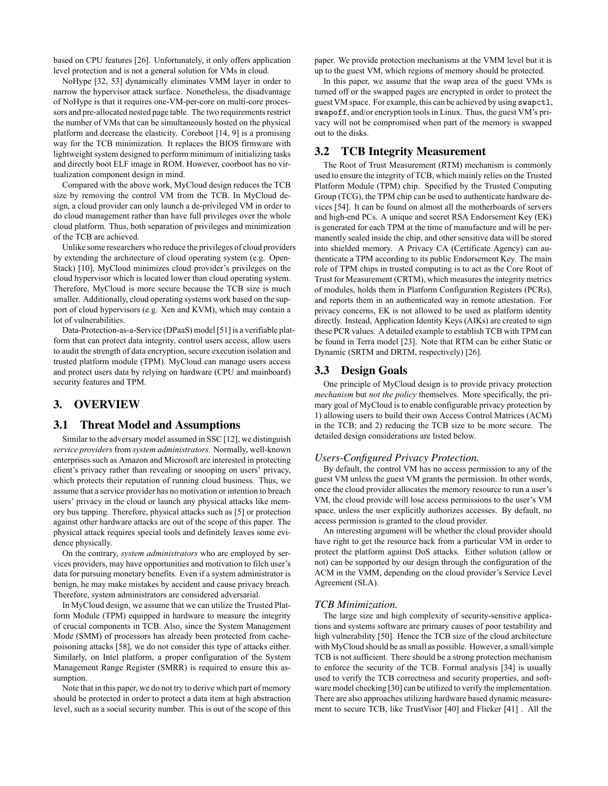based on CPU features [26]. Unfortunately, it only offers application level protection and is not a general solution for VMs in cloud.

NoHype [32, 53] dynamically eliminates VMM layer in order to narrow the hypervisor attack surface. Nonetheless, the disadvantage of NoHype is that it requires one-VM-per-core on multi-core processors and pre-allocated nested page table. The two requirements restrict the number of VMs that can be simultaneously hosted on the physical platform and decrease the elasticity. Coreboot [14, 9] is a promising way for the TCB minimization. It replaces the BIOS firmware with lightweight system designed to perform minimum of initializing tasks and directly boot ELF image in ROM. However, coorboot has no virtualization component design in mind.

Compared with the above work, MyCloud design reduces the TCB size by removing the control VM from the TCB. In MyCloud design, a cloud provider can only launch a de-privileged VM in order to do cloud management rather than have full privileges over the whole cloud platform. Thus, both separation of privileges and minimization of the TCB are achieved.

Unlike some researchers who reduce the privileges of cloud providers by extending the architecture of cloud operating system (e.g. Open-Stack) [10], MyCloud minimizes cloud provider's privileges on the cloud hypervisor which is located lower than cloud operating system. Therefore, MyCloud is more secure because the TCB size is much smaller. Additionally, cloud operating systems work based on the support of cloud hypervisors (e.g. Xen and KVM), which may contain a lot of vulnerabilities.

Data-Protection-as-a-Service (DPaaS) model [51] is a verifiable platform that can protect data integrity, control users access, allow users to audit the strength of data encryption, secure execution isolation and trusted platform module (TPM). MyCloud can manage users access and protect users data by relying on hardware (CPU and mainboard) security features and TPM.

### 3. OVERVIEW

### 3.1 Threat Model and Assumptions

Similar to the adversary model assumed in SSC [12], we distinguish *service providers* from *system administrators*. Normally, well-known enterprises such as Amazon and Microsoft are interested in protecting client's privacy rather than revealing or snooping on users' privacy, which protects their reputation of running cloud business. Thus, we assume that a service provider has no motivation or intention to breach users' privacy in the cloud or launch any physical attacks like memory bus tapping. Therefore, physical attacks such as [5] or protection against other hardware attacks are out of the scope of this paper. The physical attack requires special tools and definitely leaves some evidence physically.

On the contrary, *system administrators* who are employed by services providers, may have opportunities and motivation to filch user's data for pursuing monetary benefits. Even if a system administrator is benign, he may make mistakes by accident and cause privacy breach. Therefore, system administrators are considered adversarial.

In MyCloud design, we assume that we can utilize the Trusted Platform Module (TPM) equipped in hardware to measure the integrity of crucial components in TCB. Also, since the System Management Mode (SMM) of processors has already been protected from cachepoisoning attacks [58], we do not consider this type of attacks either. Similarly, on Intel platform, a proper configuration of the System Management Range Register (SMRR) is required to ensure this assumption.

Note that in this paper, we do not try to derive which part of memory should be protected in order to protect a data item at high abstraction level, such as a social security number. This is out of the scope of this paper. We provide protection mechanisms at the VMM level but it is up to the guest VM, which regions of memory should be protected.

In this paper, we assume that the swap area of the guest VMs is turned off or the swapped pages are encrypted in order to protect the guest VM space. For example, this can be achieved by using swapctl, swapoff, and/or encryption tools in Linux. Thus, the guest VM's privacy will not be compromised when part of the memory is swapped out to the disks.

# 3.2 TCB Integrity Measurement

The Root of Trust Measurement (RTM) mechanism is commonly used to ensure the integrity of TCB, which mainly relies on the Trusted Platform Module (TPM) chip. Specified by the Trusted Computing Group (TCG), the TPM chip can be used to authenticate hardware devices [54]. It can be found on almost all the motherboards of servers and high-end PCs. A unique and secret RSA Endorsement Key (EK) is generated for each TPM at the time of manufacture and will be permanently sealed inside the chip, and other sensitive data will be stored into shielded memory. A Privacy CA (Certificate Agency) can authenticate a TPM according to its public Endorsement Key. The main role of TPM chips in trusted computing is to act as the Core Root of Trust for Measurement (CRTM), which measures the integrity metrics of modules, holds them in Platform Configuration Registers (PCRs), and reports them in an authenticated way in remote attestation. For privacy concerns, EK is not allowed to be used as platform identity directly. Instead, Application Identity Keys (AIKs) are created to sign these PCR values. A detailed example to establish TCB with TPM can be found in Terra model [23]. Note that RTM can be either Static or Dynamic (SRTM and DRTM, respectively) [26].

### 3.3 Design Goals

One principle of MyCloud design is to provide privacy protection *mechanism* but *not the policy* themselves. More specifically, the primary goal of MyCloud is to enable configurable privacy protection by 1) allowing users to build their own Access Control Matrices (ACM) in the TCB; and 2) reducing the TCB size to be more secure. The detailed design considerations are listed below.

#### *Users-Configured Privacy Protection.*

By default, the control VM has no access permission to any of the guest VM unless the guest VM grants the permission. In other words, once the cloud provider allocates the memory resource to run a user's VM, the cloud provide will lose access permissions to the user's VM space, unless the user explicitly authorizes accesses. By default, no access permission is granted to the cloud provider.

An interesting argument will be whether the cloud provider should have right to get the resource back from a particular VM in order to protect the platform against DoS attacks. Either solution (allow or not) can be supported by our design through the configuration of the ACM in the VMM, depending on the cloud provider's Service Level Agreement (SLA).

#### *TCB Minimization.*

The large size and high complexity of security-sensitive applications and systems software are primary causes of poor testability and high vulnerability [50]. Hence the TCB size of the cloud architecture with MyCloud should be as small as possible. However, a small/simple TCB is not sufficient. There should be a strong protection mechanism to enforce the security of the TCB. Formal analysis [34] is usually used to verify the TCB correctness and security properties, and software model checking [30] can be utilized to verify the implementation. There are also approaches utilizing hardware based dynamic measurement to secure TCB, like TrustVisor [40] and Flicker [41] . All the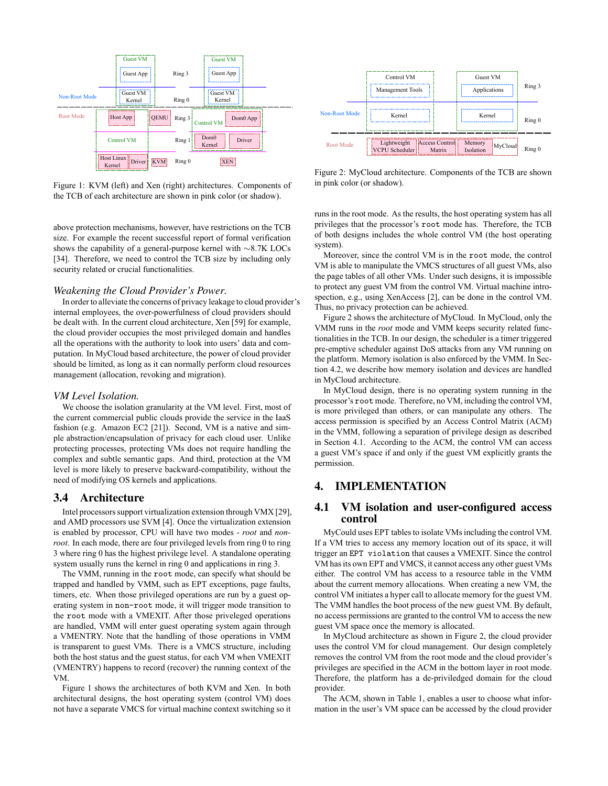

Figure 1: KVM (left) and Xen (right) architectures. Components of the TCB of each architecture are shown in pink color (or shadow).

above protection mechanisms, however, have restrictions on the TCB size. For example the recent successful report of formal verification shows the capability of a general-purpose kernel with *∼*8.7K LOCs [34]. Therefore, we need to control the TCB size by including only security related or crucial functionalities.

#### *Weakening the Cloud Provider's Power.*

In order to alleviate the concerns of privacy leakage to cloud provider's internal employees, the over-powerfulness of cloud providers should be dealt with. In the current cloud architecture, Xen [59] for example, the cloud provider occupies the most privileged domain and handles all the operations with the authority to look into users' data and computation. In MyCloud based architecture, the power of cloud provider should be limited, as long as it can normally perform cloud resources management (allocation, revoking and migration).

#### *VM Level Isolation.*

We choose the isolation granularity at the VM level. First, most of the current commercial public clouds provide the service in the IaaS fashion (e.g. Amazon EC2 [21]). Second, VM is a native and simple abstraction/encapsulation of privacy for each cloud user. Unlike protecting processes, protecting VMs does not require handling the complex and subtle semantic gaps. And third, protection at the VM level is more likely to preserve backward-compatibility, without the need of modifying OS kernels and applications.

### 3.4 Architecture

Intel processors support virtualization extension through VMX [29], and AMD processors use SVM [4]. Once the virtualization extension is enabled by processor, CPU will have two modes - *root* and *nonroot*. In each mode, there are four privileged levels from ring 0 to ring 3 where ring 0 has the highest privilege level. A standalone operating system usually runs the kernel in ring 0 and applications in ring 3.

The VMM, running in the root mode, can specify what should be trapped and handled by VMM, such as EPT exceptions, page faults, timers, etc. When those privileged operations are run by a guest operating system in non-root mode, it will trigger mode transition to the root mode with a VMEXIT. After those priveleged operations are handled, VMM will enter guest operating system again through a VMENTRY. Note that the handling of those operations in VMM is transparent to guest VMs. There is a VMCS structure, including both the host status and the guest status, for each VM when VMEXIT (VMENTRY) happens to record (recover) the running context of the VM.

Figure 1 shows the architectures of both KVM and Xen. In both architectural designs, the host operating system (control VM) does not have a separate VMCS for virtual machine context switching so it



Figure 2: MyCloud architecture. Components of the TCB are shown in pink color (or shadow).

runs in the root mode. As the results, the host operating system has all privileges that the processor's root mode has. Therefore, the TCB of both designs includes the whole control VM (the host operating system).

Moreover, since the control VM is in the root mode, the control VM is able to manipulate the VMCS structures of all guest VMs, also the page tables of all other VMs. Under such designs, it is impossible to protect any guest VM from the control VM. Virtual machine introspection, e.g., using XenAccess [2], can be done in the control VM. Thus, no privacy protection can be achieved.

Figure 2 shows the architecture of MyCloud. In MyCloud, only the VMM runs in the *root* mode and VMM keeps security related functionalities in the TCB. In our design, the scheduler is a timer triggered pre-emptive scheduler against DoS attacks from any VM running on the platform. Memory isolation is also enforced by the VMM. In Section 4.2, we describe how memory isolation and devices are handled in MyCloud architecture.

In MyCloud design, there is no operating system running in the processor's root mode. Therefore, no VM, including the control VM, is more privileged than others, or can manipulate any others. The access permission is specified by an Access Control Matrix (ACM) in the VMM, following a separation of privilege design as described in Section 4.1. According to the ACM, the control VM can access a guest VM's space if and only if the guest VM explicitly grants the permission.

# 4. IMPLEMENTATION

### 4.1 VM isolation and user-configured access control

MyCould uses EPT tables to isolate VMs including the control VM. If a VM tries to access any memory location out of its space, it will trigger an EPT violation that causes a VMEXIT. Since the control VM has its own EPT and VMCS, it cannot access any other guest VMs either. The control VM has access to a resource table in the VMM about the current memory allocations. When creating a new VM, the control VM initiates a hyper call to allocate memory for the guest VM. The VMM handles the boot process of the new guest VM. By default, no access permissions are granted to the control VM to access the new guest VM space once the memory is allocated.

In MyCloud architecture as shown in Figure 2, the cloud provider uses the control VM for cloud management. Our design completely removes the control VM from the root mode and the cloud provider's privileges are specified in the ACM in the bottom layer in root mode. Therefore, the platform has a de-priviledged domain for the cloud provider.

The ACM, shown in Table 1, enables a user to choose what information in the user's VM space can be accessed by the cloud provider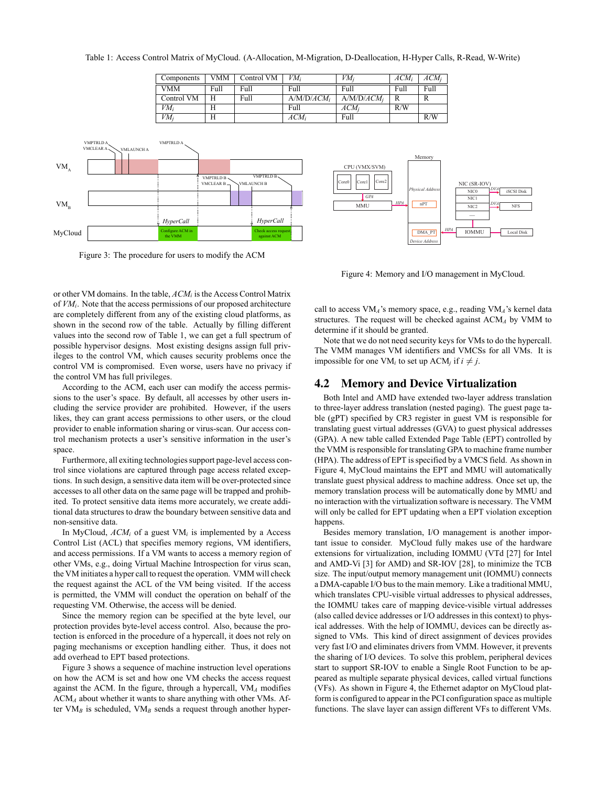| Table 1: Access Control Matrix of MyCloud. (A-Allocation, M-Migration, D-Deallocation, H-Hyper Calls, R-Read, W-Write) |  |
|------------------------------------------------------------------------------------------------------------------------|--|
|                                                                                                                        |  |

| Components | VMM  | Control VM | VM;           | VМ;           | ACM; | ACM: |
|------------|------|------------|---------------|---------------|------|------|
| <b>VMM</b> | Full | Full       | Full          | Full          | Full | Full |
| Control VM |      | Full       | $A/M/D/ACM_i$ | $A/M/D/ACM_i$ |      |      |
| VM;        |      |            | Full          | ACM           | R/W  |      |
| VMi        |      |            | ACMi          | Full          |      | R/W  |



Figure 3: The procedure for users to modify the ACM



Figure 4: Memory and I/O management in MyCloud.

or other VM domains. In the table, *ACM<sup>i</sup>* is the Access Control Matrix of *VMi*. Note that the access permissions of our proposed architecture are completely different from any of the existing cloud platforms, as shown in the second row of the table. Actually by filling different values into the second row of Table 1, we can get a full spectrum of possible hypervisor designs. Most existing designs assign full privileges to the control VM, which causes security problems once the control VM is compromised. Even worse, users have no privacy if the control VM has full privileges.

According to the ACM, each user can modify the access permissions to the user's space. By default, all accesses by other users including the service provider are prohibited. However, if the users likes, they can grant access permissions to other users, or the cloud provider to enable information sharing or virus-scan. Our access control mechanism protects a user's sensitive information in the user's space.

Furthermore, all exiting technologies support page-level access control since violations are captured through page access related exceptions. In such design, a sensitive data item will be over-protected since accesses to all other data on the same page will be trapped and prohibited. To protect sensitive data items more accurately, we create additional data structures to draw the boundary between sensitive data and non-sensitive data.

In MyCloud, *ACM<sup>i</sup>* of a guest VM*<sup>i</sup>* is implemented by a Access Control List (ACL) that specifies memory regions, VM identifiers, and access permissions. If a VM wants to access a memory region of other VMs, e.g., doing Virtual Machine Introspection for virus scan, the VM initiates a hyper call to request the operation. VMM will check the request against the ACL of the VM being visited. If the access is permitted, the VMM will conduct the operation on behalf of the requesting VM. Otherwise, the access will be denied.

Since the memory region can be specified at the byte level, our protection provides byte-level access control. Also, because the protection is enforced in the procedure of a hypercall, it does not rely on paging mechanisms or exception handling either. Thus, it does not add overhead to EPT based protections.

Figure 3 shows a sequence of machine instruction level operations on how the ACM is set and how one VM checks the access request against the ACM. In the figure, through a hypercall, VM*<sup>A</sup>* modifies ACM*<sup>A</sup>* about whether it wants to share anything with other VMs. After VM*<sup>B</sup>* is scheduled, VM*<sup>B</sup>* sends a request through another hypercall to access VM*A*'s memory space, e.g., reading VM*A*'s kernel data structures. The request will be checked against ACM*<sup>A</sup>* by VMM to determine if it should be granted.

Note that we do not need security keys for VMs to do the hypercall. The VMM manages VM identifiers and VMCSs for all VMs. It is impossible for one VM<sub>*i*</sub> to set up ACM<sub>*i*</sub> if  $i \neq j$ .

### 4.2 Memory and Device Virtualization

Both Intel and AMD have extended two-layer address translation to three-layer address translation (nested paging). The guest page table (gPT) specified by CR3 register in guest VM is responsible for translating guest virtual addresses (GVA) to guest physical addresses (GPA). A new table called Extended Page Table (EPT) controlled by the VMM is responsible for translating GPA to machine frame number (HPA). The address of EPT is specified by a VMCS field. As shown in Figure 4, MyCloud maintains the EPT and MMU will automatically translate guest physical address to machine address. Once set up, the memory translation process will be automatically done by MMU and no interaction with the virtualization software is necessary. The VMM will only be called for EPT updating when a EPT violation exception happens.

Besides memory translation, I/O management is another important issue to consider. MyCloud fully makes use of the hardware extensions for virtualization, including IOMMU (VTd [27] for Intel and AMD-Vi [3] for AMD) and SR-IOV [28], to minimize the TCB size. The input/output memory management unit (IOMMU) connects a DMA-capable I/O bus to the main memory. Like a traditional MMU, which translates CPU-visible virtual addresses to physical addresses, the IOMMU takes care of mapping device-visible virtual addresses (also called device addresses or I/O addresses in this context) to physical addresses. With the help of IOMMU, devices can be directly assigned to VMs. This kind of direct assignment of devices provides very fast I/O and eliminates drivers from VMM. However, it prevents the sharing of I/O devices. To solve this problem, peripheral devices start to support SR-IOV to enable a Single Root Function to be appeared as multiple separate physical devices, called virtual functions (VFs). As shown in Figure 4, the Ethernet adaptor on MyCloud platform is configured to appear in the PCI configuration space as multiple functions. The slave layer can assign different VFs to different VMs.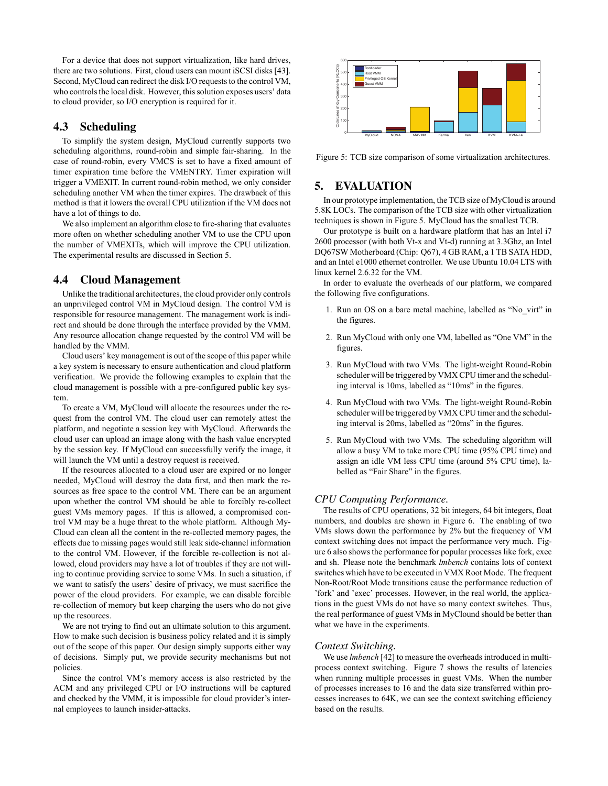For a device that does not support virtualization, like hard drives, there are two solutions. First, cloud users can mount iSCSI disks [43]. Second, MyCloud can redirect the disk I/O requests to the control VM, who controls the local disk. However, this solution exposes users' data to cloud provider, so I/O encryption is required for it.

### 4.3 Scheduling

To simplify the system design, MyCloud currently supports two scheduling algorithms, round-robin and simple fair-sharing. In the case of round-robin, every VMCS is set to have a fixed amount of timer expiration time before the VMENTRY. Timer expiration will trigger a VMEXIT. In current round-robin method, we only consider scheduling another VM when the timer expires. The drawback of this method is that it lowers the overall CPU utilization if the VM does not have a lot of things to do.

We also implement an algorithm close to fire-sharing that evaluates more often on whether scheduling another VM to use the CPU upon the number of VMEXITs, which will improve the CPU utilization. The experimental results are discussed in Section 5.

### 4.4 Cloud Management

Unlike the traditional architectures, the cloud provider only controls an unprivileged control VM in MyCloud design. The control VM is responsible for resource management. The management work is indirect and should be done through the interface provided by the VMM. Any resource allocation change requested by the control VM will be handled by the VMM.

Cloud users' key management is out of the scope of this paper while a key system is necessary to ensure authentication and cloud platform verification. We provide the following examples to explain that the cloud management is possible with a pre-configured public key system.

To create a VM, MyCloud will allocate the resources under the request from the control VM. The cloud user can remotely attest the platform, and negotiate a session key with MyCloud. Afterwards the cloud user can upload an image along with the hash value encrypted by the session key. If MyCloud can successfully verify the image, it will launch the VM until a destroy request is received.

If the resources allocated to a cloud user are expired or no longer needed, MyCloud will destroy the data first, and then mark the resources as free space to the control VM. There can be an argument upon whether the control VM should be able to forcibly re-collect guest VMs memory pages. If this is allowed, a compromised control VM may be a huge threat to the whole platform. Although My-Cloud can clean all the content in the re-collected memory pages, the effects due to missing pages would still leak side-channel information to the control VM. However, if the forcible re-collection is not allowed, cloud providers may have a lot of troubles if they are not willing to continue providing service to some VMs. In such a situation, if we want to satisfy the users' desire of privacy, we must sacrifice the power of the cloud providers. For example, we can disable forcible re-collection of memory but keep charging the users who do not give up the resources.

We are not trying to find out an ultimate solution to this argument. How to make such decision is business policy related and it is simply out of the scope of this paper. Our design simply supports either way of decisions. Simply put, we provide security mechanisms but not policies.

Since the control VM's memory access is also restricted by the ACM and any privileged CPU or I/O instructions will be captured and checked by the VMM, it is impossible for cloud provider's internal employees to launch insider-attacks.



Figure 5: TCB size comparison of some virtualization architectures.

# 5. EVALUATION

In our prototype implementation, the TCB size of MyCloud is around 5.8K LOCs. The comparison of the TCB size with other virtualization techniques is shown in Figure 5. MyCloud has the smallest TCB.

Our prototype is built on a hardware platform that has an Intel i7 2600 processor (with both Vt-x and Vt-d) running at 3.3Ghz, an Intel DQ67SW Motherboard (Chip: Q67), 4 GB RAM, a 1 TB SATA HDD, and an Intel e1000 ethernet controller. We use Ubuntu 10.04 LTS with linux kernel 2.6.32 for the VM.

In order to evaluate the overheads of our platform, we compared the following five configurations.

- 1. Run an OS on a bare metal machine, labelled as "No\_virt" in the figures.
- 2. Run MyCloud with only one VM, labelled as "One VM" in the figures.
- 3. Run MyCloud with two VMs. The light-weight Round-Robin scheduler will be triggered by VMX CPU timer and the scheduling interval is 10ms, labelled as "10ms" in the figures.
- 4. Run MyCloud with two VMs. The light-weight Round-Robin scheduler will be triggered by VMX CPU timer and the scheduling interval is 20ms, labelled as "20ms" in the figures.
- 5. Run MyCloud with two VMs. The scheduling algorithm will allow a busy VM to take more CPU time (95% CPU time) and assign an idle VM less CPU time (around 5% CPU time), labelled as "Fair Share" in the figures.

#### *CPU Computing Performance.*

The results of CPU operations, 32 bit integers, 64 bit integers, float numbers, and doubles are shown in Figure 6. The enabling of two VMs slows down the performance by 2% but the frequency of VM context switching does not impact the performance very much. Figure 6 also shows the performance for popular processes like fork, exec and sh. Please note the benchmark *lmbench* contains lots of context switches which have to be executed in VMX Root Mode. The frequent Non-Root/Root Mode transitions cause the performance reduction of 'fork' and 'exec' processes. However, in the real world, the applications in the guest VMs do not have so many context switches. Thus, the real performance of guest VMs in MyClound should be better than what we have in the experiments.

#### *Context Switching.*

We use *lmbench* [42] to measure the overheads introduced in multiprocess context switching. Figure 7 shows the results of latencies when running multiple processes in guest VMs. When the number of processes increases to 16 and the data size transferred within processes increases to 64K, we can see the context switching efficiency based on the results.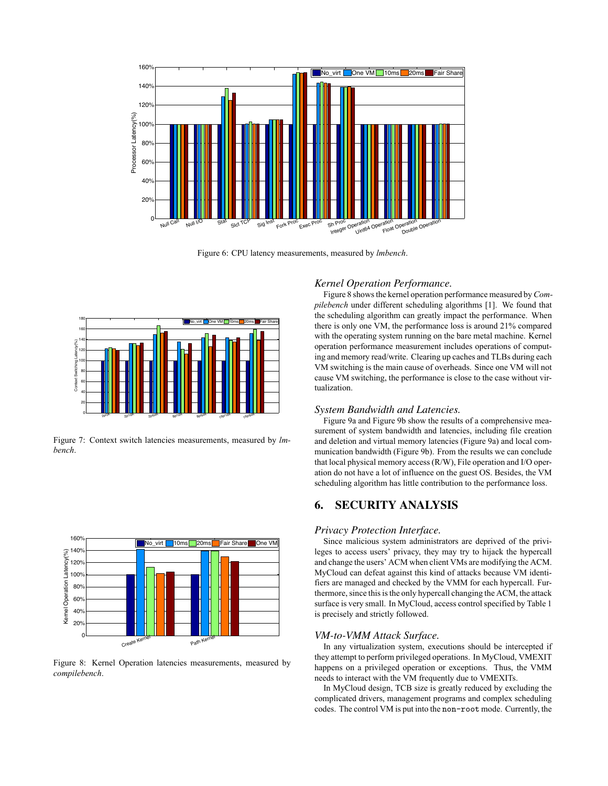

Figure 6: CPU latency measurements, measured by *lmbench*.



Figure 7: Context switch latencies measurements, measured by *lmbench*.



Figure 8: Kernel Operation latencies measurements, measured by *compilebench*.

# *Kernel Operation Performance.*

Figure 8 shows the kernel operation performance measured by*Compilebench* under different scheduling algorithms [1]. We found that the scheduling algorithm can greatly impact the performance. When there is only one VM, the performance loss is around 21% compared with the operating system running on the bare metal machine. Kernel operation performance measurement includes operations of computing and memory read/write. Clearing up caches and TLBs during each VM switching is the main cause of overheads. Since one VM will not cause VM switching, the performance is close to the case without virtualization.

# *System Bandwidth and Latencies.*

Figure 9a and Figure 9b show the results of a comprehensive measurement of system bandwidth and latencies, including file creation and deletion and virtual memory latencies (Figure 9a) and local communication bandwidth (Figure 9b). From the results we can conclude that local physical memory access (R/W), File operation and I/O operation do not have a lot of influence on the guest OS. Besides, the VM scheduling algorithm has little contribution to the performance loss.

## 6. SECURITY ANALYSIS

#### *Privacy Protection Interface.*

Since malicious system administrators are deprived of the privileges to access users' privacy, they may try to hijack the hypercall and change the users' ACM when client VMs are modifying the ACM. MyCloud can defeat against this kind of attacks because VM identifiers are managed and checked by the VMM for each hypercall. Furthermore, since this is the only hypercall changing the ACM, the attack surface is very small. In MyCloud, access control specified by Table 1 is precisely and strictly followed.

#### *VM-to-VMM Attack Surface.*

In any virtualization system, executions should be intercepted if they attempt to perform privileged operations. In MyCloud, VMEXIT happens on a privileged operation or exceptions. Thus, the VMM needs to interact with the VM frequently due to VMEXITs.

In MyCloud design, TCB size is greatly reduced by excluding the complicated drivers, management programs and complex scheduling codes. The control VM is put into the non-root mode. Currently, the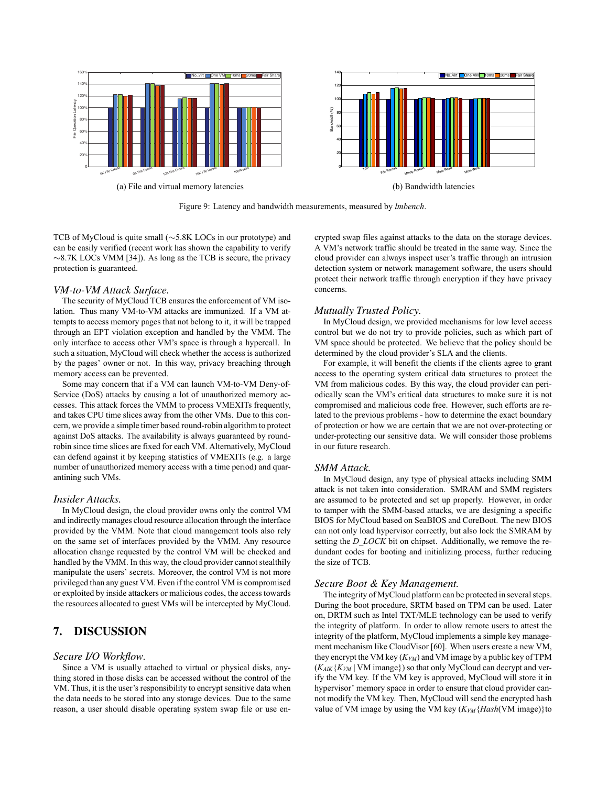

Figure 9: Latency and bandwidth measurements, measured by *lmbench*.

TCB of MyCloud is quite small (*∼*5.8K LOCs in our prototype) and can be easily verified (recent work has shown the capability to verify *∼*8.7K LOCs VMM [34]). As long as the TCB is secure, the privacy protection is guaranteed.

#### *VM-to-VM Attack Surface.*

The security of MyCloud TCB ensures the enforcement of VM isolation. Thus many VM-to-VM attacks are immunized. If a VM attempts to access memory pages that not belong to it, it will be trapped through an EPT violation exception and handled by the VMM. The only interface to access other VM's space is through a hypercall. In such a situation, MyCloud will check whether the access is authorized by the pages' owner or not. In this way, privacy breaching through memory access can be prevented.

Some may concern that if a VM can launch VM-to-VM Deny-of-Service (DoS) attacks by causing a lot of unauthorized memory accesses. This attack forces the VMM to process VMEXITs frequently, and takes CPU time slices away from the other VMs. Due to this concern, we provide a simple timer based round-robin algorithm to protect against DoS attacks. The availability is always guaranteed by roundrobin since time slices are fixed for each VM. Alternatively, MyCloud can defend against it by keeping statistics of VMEXITs (e.g. a large number of unauthorized memory access with a time period) and quarantining such VMs.

#### *Insider Attacks.*

In MyCloud design, the cloud provider owns only the control VM and indirectly manages cloud resource allocation through the interface provided by the VMM. Note that cloud management tools also rely on the same set of interfaces provided by the VMM. Any resource allocation change requested by the control VM will be checked and handled by the VMM. In this way, the cloud provider cannot stealthily manipulate the users' secrets. Moreover, the control VM is not more privileged than any guest VM. Even if the control VM is compromised or exploited by inside attackers or malicious codes, the access towards the resources allocated to guest VMs will be intercepted by MyCloud.

# 7. DISCUSSION

#### *Secure I/O Workflow.*

Since a VM is usually attached to virtual or physical disks, anything stored in those disks can be accessed without the control of the VM. Thus, it is the user's responsibility to encrypt sensitive data when the data needs to be stored into any storage devices. Due to the same reason, a user should disable operating system swap file or use encrypted swap files against attacks to the data on the storage devices. A VM's network traffic should be treated in the same way. Since the cloud provider can always inspect user's traffic through an intrusion detection system or network management software, the users should protect their network traffic through encryption if they have privacy concerns.

#### *Mutually Trusted Policy.*

In MyCloud design, we provided mechanisms for low level access control but we do not try to provide policies, such as which part of VM space should be protected. We believe that the policy should be determined by the cloud provider's SLA and the clients.

For example, it will benefit the clients if the clients agree to grant access to the operating system critical data structures to protect the VM from malicious codes. By this way, the cloud provider can periodically scan the VM's critical data structures to make sure it is not compromised and malicious code free. However, such efforts are related to the previous problems - how to determine the exact boundary of protection or how we are certain that we are not over-protecting or under-protecting our sensitive data. We will consider those problems in our future research.

#### *SMM Attack.*

In MyCloud design, any type of physical attacks including SMM attack is not taken into consideration. SMRAM and SMM registers are assumed to be protected and set up properly. However, in order to tamper with the SMM-based attacks, we are designing a specific BIOS for MyCloud based on SeaBIOS and CoreBoot. The new BIOS can not only load hypervisor correctly, but also lock the SMRAM by setting the *D*\_*LOCK* bit on chipset. Additionally, we remove the redundant codes for booting and initializing process, further reducing the size of TCB.

#### *Secure Boot & Key Management.*

The integrity of MyCloud platform can be protected in several steps. During the boot procedure, SRTM based on TPM can be used. Later on, DRTM such as Intel TXT/MLE technology can be used to verify the integrity of platform. In order to allow remote users to attest the integrity of the platform, MyCloud implements a simple key management mechanism like CloudVisor [60]. When users create a new VM, they encrypt the VM key  $(K<sub>VM</sub>)$  and VM image by a public key of TPM  $(K_{AIK} {K_{VM}}$  | VM imange}) so that only MyCloud can decrypt and verify the VM key. If the VM key is approved, MyCloud will store it in hypervisor' memory space in order to ensure that cloud provider cannot modify the VM key. Then, MyCloud will send the encrypted hash value of VM image by using the VM key ( $K_{VM}$ {*Hash*(VM image)} to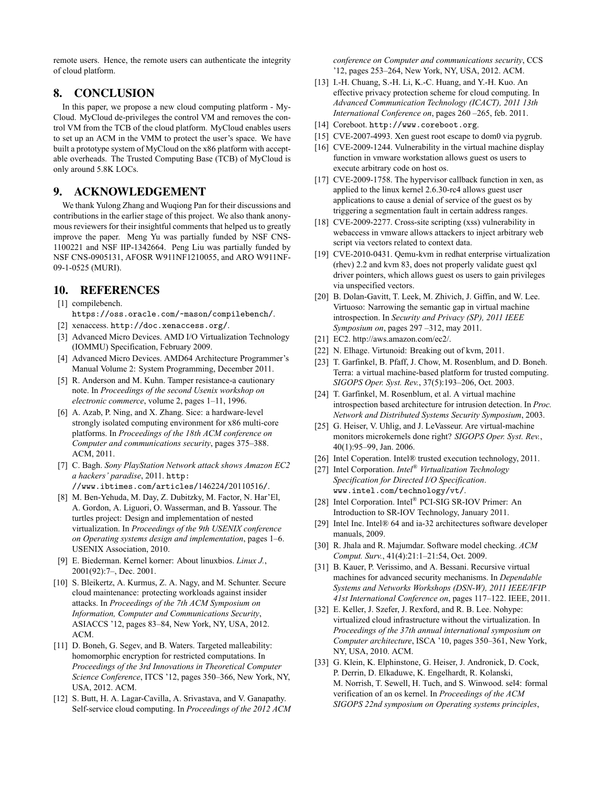remote users. Hence, the remote users can authenticate the integrity of cloud platform.

# 8. CONCLUSION

In this paper, we propose a new cloud computing platform - My-Cloud. MyCloud de-privileges the control VM and removes the control VM from the TCB of the cloud platform. MyCloud enables users to set up an ACM in the VMM to protect the user's space. We have built a prototype system of MyCloud on the x86 platform with acceptable overheads. The Trusted Computing Base (TCB) of MyCloud is only around 5.8K LOCs.

## 9. ACKNOWLEDGEMENT

We thank Yulong Zhang and Wuqiong Pan for their discussions and contributions in the earlier stage of this project. We also thank anonymous reviewers for their insightful comments that helped us to greatly improve the paper. Meng Yu was partially funded by NSF CNS-1100221 and NSF IIP-1342664. Peng Liu was partially funded by NSF CNS-0905131, AFOSR W911NF1210055, and ARO W911NF-09-1-0525 (MURI).

# 10. REFERENCES

[1] compilebench.

https://oss.oracle.com/~mason/compilebench/. [2] xenaccess. http://doc.xenaccess.org/.

- [3] Advanced Micro Devices. AMD I/O Virtualization Technology (IOMMU) Specification, February 2009.
- [4] Advanced Micro Devices. AMD64 Architecture Programmer's Manual Volume 2: System Programming, December 2011.
- [5] R. Anderson and M. Kuhn. Tamper resistance-a cautionary note. In *Proceedings of the second Usenix workshop on electronic commerce*, volume 2, pages 1–11, 1996.
- [6] A. Azab, P. Ning, and X. Zhang. Sice: a hardware-level strongly isolated computing environment for x86 multi-core platforms. In *Proceedings of the 18th ACM conference on Computer and communications security*, pages 375–388. ACM, 2011.
- [7] C. Bagh. *Sony PlayStation Network attack shows Amazon EC2 a hackers' paradise*, 2011. http: //www.ibtimes.com/articles/146224/20110516/.
- [8] M. Ben-Yehuda, M. Day, Z. Dubitzky, M. Factor, N. Har'El, A. Gordon, A. Liguori, O. Wasserman, and B. Yassour. The turtles project: Design and implementation of nested virtualization. In *Proceedings of the 9th USENIX conference on Operating systems design and implementation*, pages 1–6. USENIX Association, 2010.
- [9] E. Biederman. Kernel korner: About linuxbios. *Linux J.*, 2001(92):7–, Dec. 2001.
- [10] S. Bleikertz, A. Kurmus, Z. A. Nagy, and M. Schunter. Secure cloud maintenance: protecting workloads against insider attacks. In *Proceedings of the 7th ACM Symposium on Information, Computer and Communications Security*, ASIACCS '12, pages 83–84, New York, NY, USA, 2012. ACM.
- [11] D. Boneh, G. Segev, and B. Waters. Targeted malleability: homomorphic encryption for restricted computations. In *Proceedings of the 3rd Innovations in Theoretical Computer Science Conference*, ITCS '12, pages 350–366, New York, NY, USA, 2012. ACM.
- [12] S. Butt, H. A. Lagar-Cavilla, A. Srivastava, and V. Ganapathy. Self-service cloud computing. In *Proceedings of the 2012 ACM*

*conference on Computer and communications security*, CCS '12, pages 253–264, New York, NY, USA, 2012. ACM.

- [13] I.-H. Chuang, S.-H. Li, K.-C. Huang, and Y.-H. Kuo. An effective privacy protection scheme for cloud computing. In *Advanced Communication Technology (ICACT), 2011 13th International Conference on*, pages 260 –265, feb. 2011.
- [14] Coreboot. http://www.coreboot.org.
- [15] CVE-2007-4993. Xen guest root escape to dom0 via pygrub.
- [16] CVE-2009-1244. Vulnerability in the virtual machine display function in vmware workstation allows guest os users to execute arbitrary code on host os.
- [17] CVE-2009-1758. The hypervisor callback function in xen, as applied to the linux kernel 2.6.30-rc4 allows guest user applications to cause a denial of service of the guest os by triggering a segmentation fault in certain address ranges.
- [18] CVE-2009-2277. Cross-site scripting (xss) vulnerability in webaccess in vmware allows attackers to inject arbitrary web script via vectors related to context data.
- [19] CVE-2010-0431. Qemu-kvm in redhat enterprise virtualization (rhev) 2.2 and kvm 83, does not properly validate guest qxl driver pointers, which allows guest os users to gain privileges via unspecified vectors.
- [20] B. Dolan-Gavitt, T. Leek, M. Zhivich, J. Giffin, and W. Lee. Virtuoso: Narrowing the semantic gap in virtual machine introspection. In *Security and Privacy (SP), 2011 IEEE Symposium on*, pages 297 –312, may 2011.
- [21] EC2. http://aws.amazon.com/ec2/.
- [22] N. Elhage. Virtunoid: Breaking out of kvm, 2011.
- [23] T. Garfinkel, B. Pfaff, J. Chow, M. Rosenblum, and D. Boneh. Terra: a virtual machine-based platform for trusted computing. *SIGOPS Oper. Syst. Rev.*, 37(5):193–206, Oct. 2003.
- [24] T. Garfinkel, M. Rosenblum, et al. A virtual machine introspection based architecture for intrusion detection. In *Proc. Network and Distributed Systems Security Symposium*, 2003.
- [25] G. Heiser, V. Uhlig, and J. LeVasseur. Are virtual-machine monitors microkernels done right? *SIGOPS Oper. Syst. Rev.*, 40(1):95–99, Jan. 2006.
- [26] Intel Coperation. Intel® trusted execution technology, 2011.
- [27] Intel Corporation. *Intel® Virtualization Technology Specification for Directed I/O Specification*. www.intel.com/technology/vt/.
- [28] Intel Corporation. Intel® PCI-SIG SR-IOV Primer: An Introduction to SR-IOV Technology, January 2011.
- [29] Intel Inc. Intel® 64 and ia-32 architectures software developer manuals, 2009.
- [30] R. Jhala and R. Majumdar. Software model checking. *ACM Comput. Surv.*, 41(4):21:1–21:54, Oct. 2009.
- [31] B. Kauer, P. Verissimo, and A. Bessani. Recursive virtual machines for advanced security mechanisms. In *Dependable Systems and Networks Workshops (DSN-W), 2011 IEEE/IFIP 41st International Conference on*, pages 117–122. IEEE, 2011.
- [32] E. Keller, J. Szefer, J. Rexford, and R. B. Lee. Nohype: virtualized cloud infrastructure without the virtualization. In *Proceedings of the 37th annual international symposium on Computer architecture*, ISCA '10, pages 350–361, New York, NY, USA, 2010. ACM.
- [33] G. Klein, K. Elphinstone, G. Heiser, J. Andronick, D. Cock, P. Derrin, D. Elkaduwe, K. Engelhardt, R. Kolanski, M. Norrish, T. Sewell, H. Tuch, and S. Winwood. sel4: formal verification of an os kernel. In *Proceedings of the ACM SIGOPS 22nd symposium on Operating systems principles*,